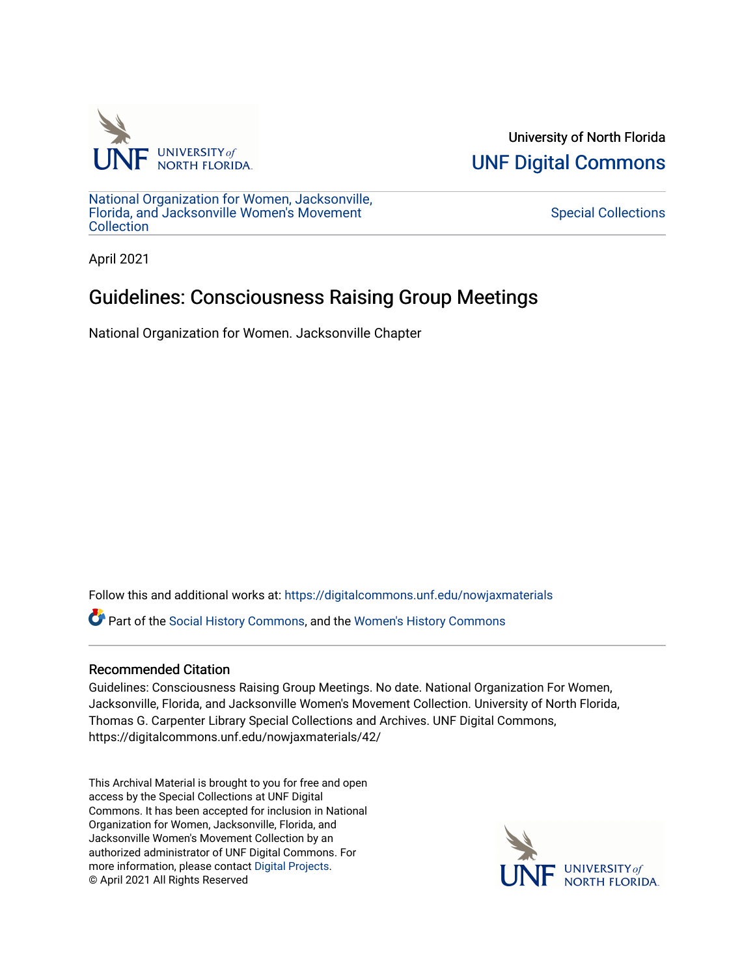

University of North Florida [UNF Digital Commons](https://digitalcommons.unf.edu/) 

[National Organization for Women, Jacksonville,](https://digitalcommons.unf.edu/nowjaxmaterials) [Florida, and Jacksonville Women's Movement](https://digitalcommons.unf.edu/nowjaxmaterials) **Collection** 

[Special Collections](https://digitalcommons.unf.edu/special_collections) 

April 2021

## Guidelines: Consciousness Raising Group Meetings

National Organization for Women. Jacksonville Chapter

Follow this and additional works at: [https://digitalcommons.unf.edu/nowjaxmaterials](https://digitalcommons.unf.edu/nowjaxmaterials?utm_source=digitalcommons.unf.edu%2Fnowjaxmaterials%2F42&utm_medium=PDF&utm_campaign=PDFCoverPages) 

Part of the [Social History Commons](http://network.bepress.com/hgg/discipline/506?utm_source=digitalcommons.unf.edu%2Fnowjaxmaterials%2F42&utm_medium=PDF&utm_campaign=PDFCoverPages), and the [Women's History Commons](http://network.bepress.com/hgg/discipline/507?utm_source=digitalcommons.unf.edu%2Fnowjaxmaterials%2F42&utm_medium=PDF&utm_campaign=PDFCoverPages)

## Recommended Citation

Guidelines: Consciousness Raising Group Meetings. No date. National Organization For Women, Jacksonville, Florida, and Jacksonville Women's Movement Collection. University of North Florida, Thomas G. Carpenter Library Special Collections and Archives. UNF Digital Commons, https://digitalcommons.unf.edu/nowjaxmaterials/42/

This Archival Material is brought to you for free and open access by the Special Collections at UNF Digital Commons. It has been accepted for inclusion in National Organization for Women, Jacksonville, Florida, and Jacksonville Women's Movement Collection by an authorized administrator of UNF Digital Commons. For more information, please contact [Digital Projects](mailto:lib-digital@unf.edu). © April 2021 All Rights Reserved